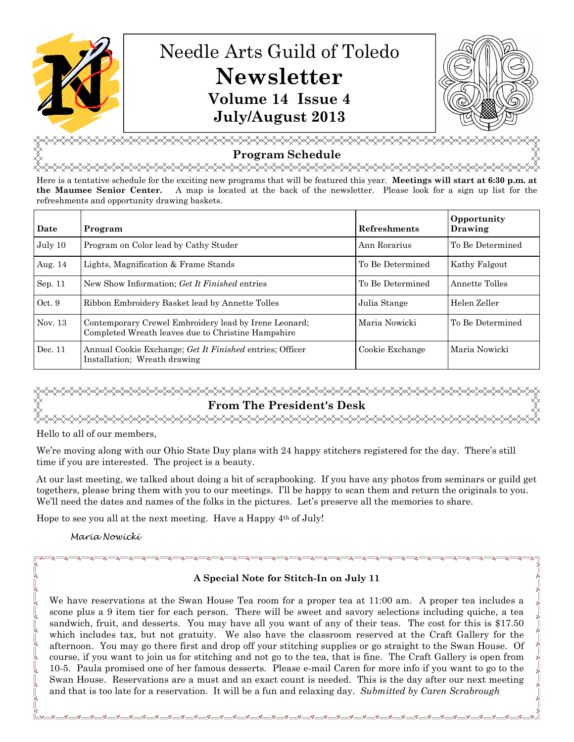

# Needle Arts Guild of Toledo **Newsletter Volume 14 Issue 4 July/August 2013**



<del></del> **Program Schedule** 

<del></del> Here is a tentative schedule for the exciting new programs that will be featured this year. **Meetings will start at 6:30 p.m. at** 

**the Maumee Senior Center.** A map is located at the back of the newsletter. Please look for a sign up list for the refreshments and opportunity drawing baskets.

| Date    | Program                                                                                                     | <b>Refreshments</b> | Opportunity<br>Drawing |
|---------|-------------------------------------------------------------------------------------------------------------|---------------------|------------------------|
| July 10 | Program on Color lead by Cathy Studer                                                                       | Ann Rorarius        | To Be Determined       |
| Aug. 14 | Lights, Magnification & Frame Stands                                                                        | To Be Determined    | Kathy Falgout          |
| Sep. 11 | New Show Information; Get It Finished entries                                                               | To Be Determined    | Annette Tolles         |
| Oct.9   | Ribbon Embroidery Basket lead by Annette Tolles                                                             | Julia Stange        | Helen Zeller           |
| Nov. 13 | Contemporary Crewel Embroidery lead by Irene Leonard;<br>Completed Wreath leaves due to Christine Hampshire | Maria Nowicki       | To Be Determined       |
| Dec. 11 | Annual Cookie Exchange; Get It Finished entries; Officer<br>Installation: Wreath drawing                    | Cookie Exchange     | Maria Nowicki          |

## <del></del> **From The President's Desk**

Hello to all of our members,

We're moving along with our Ohio State Day plans with 24 happy stitchers registered for the day. There's still time if you are interested. The project is a beauty.

At our last meeting, we talked about doing a bit of scrapbooking. If you have any photos from seminars or guild get togethers, please bring them with you to our meetings. I'll be happy to scan them and return the originals to you. We'll need the dates and names of the folks in the pictures. Let's preserve all the memories to share.

Hope to see you all at the next meeting. Have a Happy 4th of July!

Maria Nowicki

## **A Special Note for Stitch-In on July 11**

We have reservations at the Swan House Tea room for a proper tea at 11:00 am. A proper tea includes a scone plus a 9 item tier for each person. There will be sweet and savory selections including quiche, a tea sandwich, fruit, and desserts. You may have all you want of any of their teas. The cost for this is \$17.50 which includes tax, but not gratuity. We also have the classroom reserved at the Craft Gallery for the afternoon. You may go there first and drop off your stitching supplies or go straight to the Swan House. Of course, if you want to join us for stitching and not go to the tea, that is fine. The Craft Gallery is open from 10-5. Paula promised one of her famous desserts. Please e-mail Caren for more info if you want to go to the Swan House. Reservations are a must and an exact count is needed. This is the day after our next meeting and that is too late for a reservation. It will be a fun and relaxing day. *Submitted by Caren Scrabrough*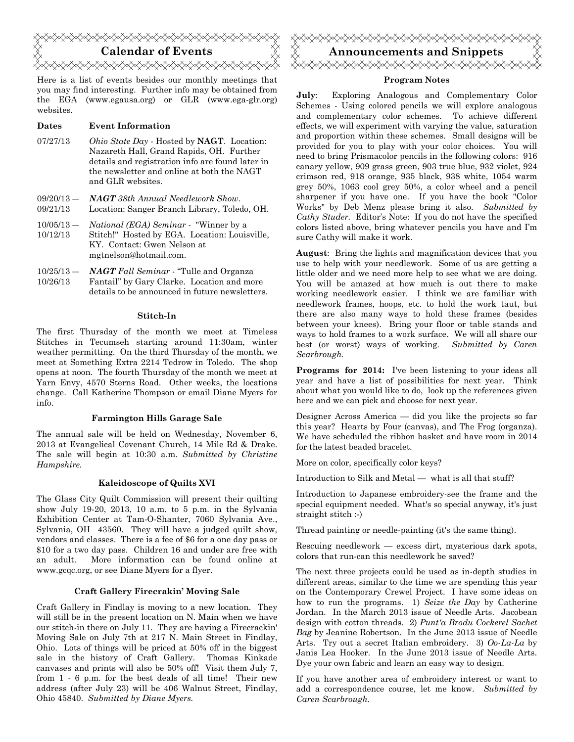

Here is a list of events besides our monthly meetings that you may find interesting. Further info may be obtained from the EGA (www.egausa.org) or GLR (www.ega-glr.org) websites.

### **Dates Event Information**

- 07/27/13 *Ohio State Day* Hosted by **NAGT**. Location: Nazareth Hall, Grand Rapids, OH. Further details and registration info are found later in the newsletter and online at both the NAGT and GLR websites.
- $09/20/13 -$ 09/21/13 *NAGT 38th Annual Needlework Show*. Location: Sanger Branch Library, Toledo, OH.
- $10/05/13 -$ 10/12/13 *National (EGA) Seminar -* "Winner by a Stitch!" Hosted by EGA. Location: Louisville, KY. Contact: Gwen Nelson at mgtnelson@hotmail.com.
- $10/25/13 -$ 10/26/13 *NAGT Fall Seminar* - "Tulle and Organza Fantail" by Gary Clarke. Location and more details to be announced in future newsletters.

### **Stitch-In**

The first Thursday of the month we meet at Timeless Stitches in Tecumseh starting around 11:30am, winter weather permitting. On the third Thursday of the month, we meet at Something Extra 2214 Tedrow in Toledo. The shop opens at noon. The fourth Thursday of the month we meet at Yarn Envy, 4570 Sterns Road. Other weeks, the locations change. Call Katherine Thompson or email Diane Myers for info.

### **Farmington Hills Garage Sale**

The annual sale will be held on Wednesday, November 6, 2013 at Evangelical Covenant Church, 14 Mile Rd & Drake. The sale will begin at 10:30 a.m. *Submitted by Christine Hampshire.*

### **Kaleidoscope of Quilts XVI**

The Glass City Quilt Commission will present their quilting show July 19-20, 2013, 10 a.m. to 5 p.m. in the Sylvania Exhibition Center at Tam-O-Shanter, 7060 Sylvania Ave., Sylvania, OH 43560. They will have a judged quilt show, vendors and classes. There is a fee of \$6 for a one day pass or \$10 for a two day pass. Children 16 and under are free with an adult. More information can be found online at www.gcqc.org, or see Diane Myers for a flyer.

### **Craft Gallery Firecrakin' Moving Sale**

Craft Gallery in Findlay is moving to a new location. They will still be in the present location on N. Main when we have our stitch-in there on July 11. They are having a Firecrackin' Moving Sale on July 7th at 217 N. Main Street in Findlay, Ohio. Lots of things will be priced at 50% off in the biggest sale in the history of Craft Gallery. Thomas Kinkade canvases and prints will also be 50% off! Visit them July 7, from 1 - 6 p.m. for the best deals of all time! Their new address (after July 23) will be 406 Walnut Street, Findlay, Ohio 45840. *Submitted by Diane Myers.*



### **Program Notes**

**July**: Exploring Analogous and Complementary Color Schemes - Using colored pencils we will explore analogous and complementary color schemes. To achieve different effects, we will experiment with varying the value, saturation and proportion within these schemes. Small designs will be provided for you to play with your color choices. You will need to bring Prismacolor pencils in the following colors: 916 canary yellow, 909 grass green, 903 true blue, 932 violet, 924 crimson red, 918 orange, 935 black, 938 white, 1054 warm grey 50%, 1063 cool grey 50%, a color wheel and a pencil sharpener if you have one. If you have the book "Color Works" by Deb Menz please bring it also. *Submitted by Cathy Studer.* Editor's Note: If you do not have the specified colors listed above, bring whatever pencils you have and I'm sure Cathy will make it work.

**August**: Bring the lights and magnification devices that you use to help with your needlework. Some of us are getting a little older and we need more help to see what we are doing. You will be amazed at how much is out there to make working needlework easier. I think we are familiar with needlework frames, hoops, etc. to hold the work taut, but there are also many ways to hold these frames (besides between your knees). Bring your floor or table stands and ways to hold frames to a work surface. We will all share our best (or worst) ways of working. *Submitted by Caren Scarbrough.*

**Programs for 2014:** I've been listening to your ideas all year and have a list of possibilities for next year. Think about what you would like to do, look up the references given here and we can pick and choose for next year.

Designer Across America — did you like the projects so far this year? Hearts by Four (canvas), and The Frog (organza). We have scheduled the ribbon basket and have room in 2014 for the latest beaded bracelet.

More on color, specifically color keys?

Introduction to Silk and Metal — what is all that stuff?

Introduction to Japanese embroidery-see the frame and the special equipment needed. What's so special anyway, it's just straight stitch :-)

Thread painting or needle-painting (it's the same thing).

Rescuing needlework — excess dirt, mysterious dark spots, colors that run-can this needlework be saved?

The next three projects could be used as in-depth studies in different areas, similar to the time we are spending this year on the Contemporary Crewel Project. I have some ideas on how to run the programs. 1) *Seize the Day* by Catherine Jordan. In the March 2013 issue of Needle Arts. Jacobean design with cotton threads. 2) *Punt'a Brodu Cockerel Sachet Bag* by Jeanine Robertson. In the June 2013 issue of Needle Arts. Try out a secret Italian embroidery. 3) *Oo-La-La* by Janis Lea Hooker. In the June 2013 issue of Needle Arts. Dye your own fabric and learn an easy way to design.

If you have another area of embroidery interest or want to add a correspondence course, let me know. *Submitted by Caren Scarbrough.*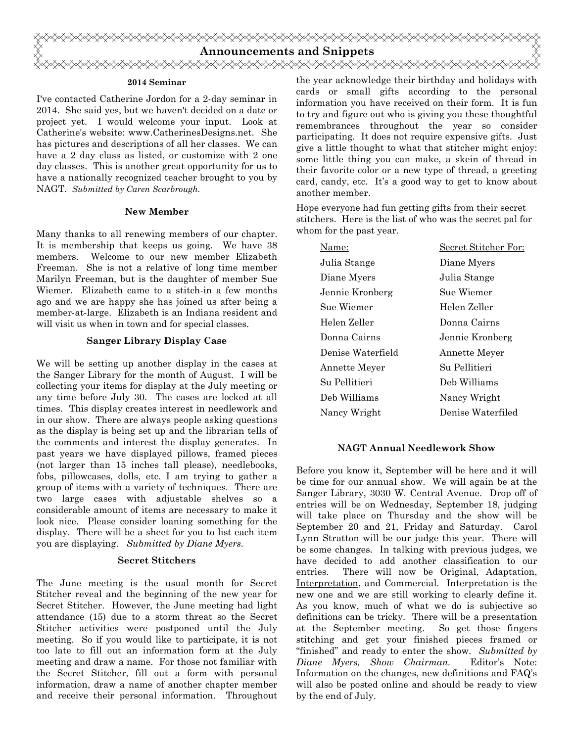

### **2014 Seminar**

I've contacted Catherine Jordon for a 2-day seminar in 2014. She said yes, but we haven't decided on a date or project yet. I would welcome your input. Look at Catherine's website: www.CatherinesDesigns.net. She has pictures and descriptions of all her classes. We can have a 2 day class as listed, or customize with 2 one day classes. This is another great opportunity for us to have a nationally recognized teacher brought to you by NAGT. *Submitted by Caren Scarbrough.*

### **New Member**

Many thanks to all renewing members of our chapter. It is membership that keeps us going. We have 38 members. Welcome to our new member Elizabeth Freeman. She is not a relative of long time member Marilyn Freeman, but is the daughter of member Sue Wiemer. Elizabeth came to a stitch-in a few months ago and we are happy she has joined us after being a member-at-large. Elizabeth is an Indiana resident and will visit us when in town and for special classes.

### **Sanger Library Display Case**

We will be setting up another display in the cases at the Sanger Library for the month of August. I will be collecting your items for display at the July meeting or any time before July 30. The cases are locked at all times. This display creates interest in needlework and in our show. There are always people asking questions as the display is being set up and the librarian tells of the comments and interest the display generates. In past years we have displayed pillows, framed pieces (not larger than 15 inches tall please), needlebooks, fobs, pillowcases, dolls, etc. I am trying to gather a group of items with a variety of techniques. There are two large cases with adjustable shelves so a considerable amount of items are necessary to make it look nice. Please consider loaning something for the display. There will be a sheet for you to list each item you are displaying. *Submitted by Diane Myers.*

### **Secret Stitchers**

The June meeting is the usual month for Secret Stitcher reveal and the beginning of the new year for Secret Stitcher. However, the June meeting had light attendance (15) due to a storm threat so the Secret Stitcher activities were postponed until the July meeting. So if you would like to participate, it is not too late to fill out an information form at the July meeting and draw a name. For those not familiar with the Secret Stitcher, fill out a form with personal information, draw a name of another chapter member and receive their personal information. Throughout

the year acknowledge their birthday and holidays with cards or small gifts according to the personal information you have received on their form. It is fun to try and figure out who is giving you these thoughtful remembrances throughout the year so consider participating. It does not require expensive gifts. Just give a little thought to what that stitcher might enjoy: some little thing you can make, a skein of thread in their favorite color or a new type of thread, a greeting card, candy, etc. It's a good way to get to know about another member.

Hope everyone had fun getting gifts from their secret stitchers. Here is the list of who was the secret pal for whom for the past year.

| Name:             | Secret Stitcher For: |
|-------------------|----------------------|
| Julia Stange      | Diane Myers          |
| Diane Myers       | Julia Stange         |
| Jennie Kronberg   | Sue Wiemer           |
| Sue Wiemer        | Helen Zeller         |
| Helen Zeller      | Donna Cairns         |
| Donna Cairns      | Jennie Kronberg      |
| Denise Waterfield | <b>Annette Meyer</b> |
| Annette Meyer     | Su Pellitieri        |
| Su Pellitieri     | Deb Williams         |
| Deb Williams      | Nancy Wright         |
| Nancy Wright      | Denise Waterfiled    |

### **NAGT Annual Needlework Show**

Before you know it, September will be here and it will be time for our annual show. We will again be at the Sanger Library, 3030 W. Central Avenue. Drop off of entries will be on Wednesday, September 18, judging will take place on Thursday and the show will be September 20 and 21, Friday and Saturday. Carol Lynn Stratton will be our judge this year. There will be some changes. In talking with previous judges, we have decided to add another classification to our entries. There will now be Original, Adaptation, Interpretation, and Commercial. Interpretation is the new one and we are still working to clearly define it. As you know, much of what we do is subjective so definitions can be tricky. There will be a presentation at the September meeting. So get those fingers stitching and get your finished pieces framed or "finished" and ready to enter the show. *Submitted by Diane Myers, Show Chairman.* Editor's Note: Information on the changes, new definitions and FAQ's will also be posted online and should be ready to view by the end of July.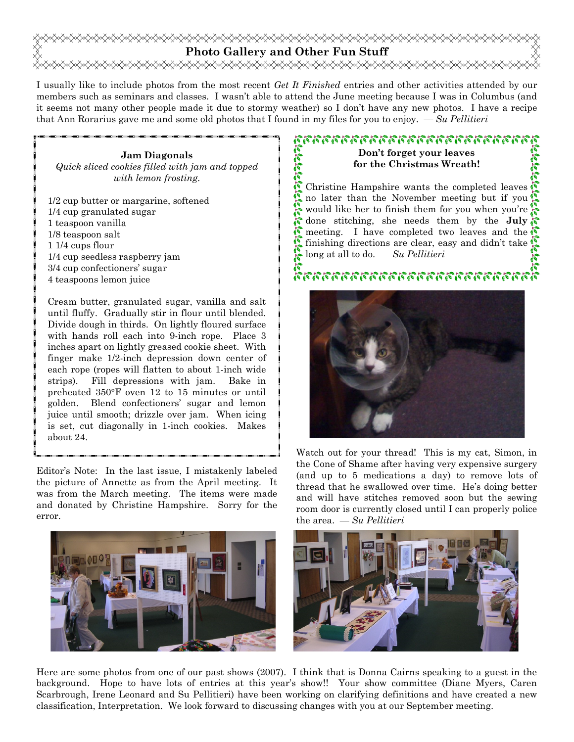## **Photo Gallery and Other Fun Stuff**  <del></del>

I usually like to include photos from the most recent *Get It Finished* entries and other activities attended by our members such as seminars and classes. I wasn't able to attend the June meeting because I was in Columbus (and it seems not many other people made it due to stormy weather) so I don't have any new photos. I have a recipe that Ann Rorarius gave me and some old photos that I found in my files for you to enjoy. — *Su Pellitieri*

### **Jam Diagonals**  *Quick sliced cookies filled with jam and topped with lemon frosting.*

1/2 cup butter or margarine, softened 1/4 cup granulated sugar 1 teaspoon vanilla 1/8 teaspoon salt 1 1/4 cups flour 1/4 cup seedless raspberry jam 3/4 cup confectioners' sugar 4 teaspoons lemon juice

Cream butter, granulated sugar, vanilla and salt until fluffy. Gradually stir in flour until blended. Divide dough in thirds. On lightly floured surface with hands roll each into 9-inch rope. Place 3 inches apart on lightly greased cookie sheet. With finger make 1/2-inch depression down center of each rope (ropes will flatten to about 1-inch wide strips). Fill depressions with jam. Bake in preheated 350°F oven 12 to 15 minutes or until golden. Blend confectioners' sugar and lemon juice until smooth; drizzle over jam. When icing is set, cut diagonally in 1-inch cookies. Makes about 24.

Editor's Note: In the last issue, I mistakenly labeled the picture of Annette as from the April meeting. It was from the March meeting. The items were made and donated by Christine Hampshire. Sorry for the error.



## หารราช พรรคราช พรรคราช พรรคราช พร **Don't forget your leaves**

**for the Christmas Wreath!** 

**STATISTE** Christine Hampshire wants the completed leaves  $\mathbb{S}$ no later than the November meeting but if you would like her to finish them for you when you're done stitching, she needs them by the **July** meeting. I have completed two leaves and the finishing directions are clear, easy and didn't take long at all to do. — *Su Pellitieri*

## 2020 2020 2020 2020 2020 2020 2020 2021



Watch out for your thread! This is my cat, Simon, in the Cone of Shame after having very expensive surgery (and up to 5 medications a day) to remove lots of thread that he swallowed over time. He's doing better and will have stitches removed soon but the sewing room door is currently closed until I can properly police the area. — *Su Pellitieri*



Here are some photos from one of our past shows (2007). I think that is Donna Cairns speaking to a guest in the background. Hope to have lots of entries at this year's show!! Your show committee (Diane Myers, Caren Scarbrough, Irene Leonard and Su Pellitieri) have been working on clarifying definitions and have created a new classification, Interpretation. We look forward to discussing changes with you at our September meeting.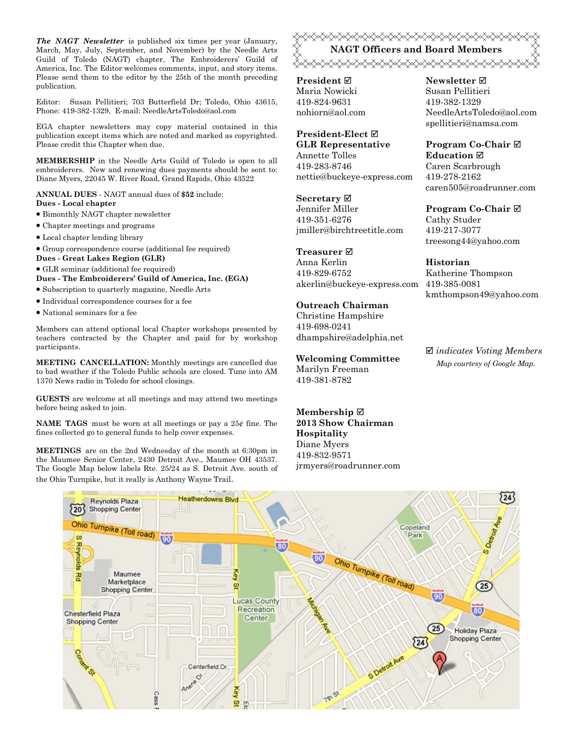*The NAGT Newsletter* is published six times per year (January, March, May, July, September, and November) by the Needle Arts Guild of Toledo (NAGT) chapter, The Embroiderers' Guild of America, Inc. The Editor welcomes comments, input, and story items. Please send them to the editor by the 25th of the month preceding publication.

Editor: Susan Pellitieri; 703 Butterfield Dr; Toledo, Ohio 43615, Phone: 419-382-1329, E-mail: NeedleArtsToledo@aol.com

EGA chapter newsletters may copy material contained in this publication except items which are noted and marked as copyrighted. Please credit this Chapter when due.

**MEMBERSHIP** in the Needle Arts Guild of Toledo is open to all embroiderers. New and renewing dues payments should be sent to: Diane Myers, 22045 W. River Road, Grand Rapids, Ohio 43522

**ANNUAL DUES** - NAGT annual dues of **\$52** include: **Dues - Local chapter** 

- Bimonthly NAGT chapter newsletter
- Chapter meetings and programs
- Local chapter lending library
- Group correspondence course (additional fee required)
- **Dues Great Lakes Region (GLR)**
- GLR seminar (additional fee required)

**Dues - The Embroiderers' Guild of America, Inc. (EGA)** 

- Subscription to quarterly magazine, Needle Arts
- Individual correspondence courses for a fee
- National seminars for a fee

Members can attend optional local Chapter workshops presented by teachers contracted by the Chapter and paid for by workshop participants.

**MEETING CANCELLATION:** Monthly meetings are cancelled due to bad weather if the Toledo Public schools are closed. Tune into AM 1370 News radio in Toledo for school closings.

**GUESTS** are welcome at all meetings and may attend two meetings before being asked to join.

**NAME TAGS** must be worn at all meetings or pay a 25¢ fine. The fines collected go to general funds to help cover expenses.

**MEETINGS** are on the 2nd Wednesday of the month at 6:30pm in the Maumee Senior Center, 2430 Detroit Ave., Maumee OH 43537. The Google Map below labels Rte. 25/24 as S. Detroit Ave. south of the Ohio Turnpike, but it really is Anthony Wayne Trail.

## **XXXXXXXXXXXXXXXXXXXXXXXXXXXXXXX NAGT Officers and Board Members**  <del></del>

**President** Maria Nowicki 419-824-9631 nohiorn@aol.com

### **President-Elect GLR Representative**

Annette Tolles 419-283-8746 nettie@buckeye-express.com

**Secretary**

Jennifer Miller 419-351-6276 jmiller@birchtreetitle.com

**Treasurer** 

Anna Kerlin 419-829-6752 akerlin@buckeye-express.com 419-385-0081

## **Outreach Chairman**

Christine Hampshire 419-698-0241 dhampshire@adelphia.net

**Welcoming Committee**  Marilyn Freeman 419-381-8782

**Membership 2013 Show Chairman Hospitality**  Diane Myers 419-832-9571 jrmyers@roadrunner.com

### **Newsletter**  Susan Pellitieri 419-382-1329 NeedleArtsToledo@aol.com spellitieri@namsa.com

**Program Co-Chair Education**  Caren Scarbrough 419-278-2162 caren505@roadrunner.com

## **Program Co-Chair**  Cathy Studer

419-217-3077 treesong44@yahoo.com

### **Historian**

Katherine Thompson kmthompson49@yahoo.com

 *indicates Voting Members Map courtesy of Google Map.*